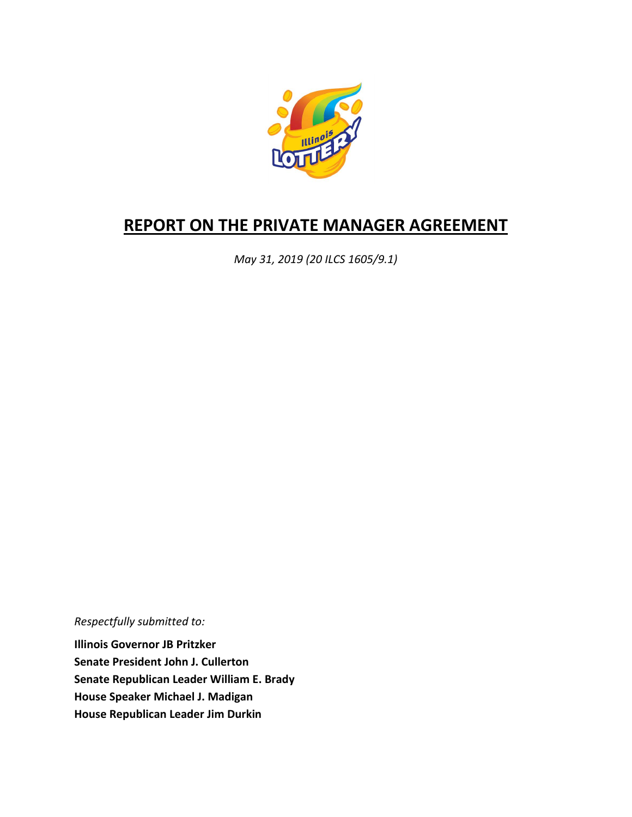

# **REPORT ON THE PRIVATE MANAGER AGREEMENT**

*May 31, 2019 (20 ILCS 1605/9.1)*

*Respectfully submitted to:* 

**Illinois Governor JB Pritzker Senate President John J. Cullerton Senate Republican Leader William E. Brady House Speaker Michael J. Madigan House Republican Leader Jim Durkin**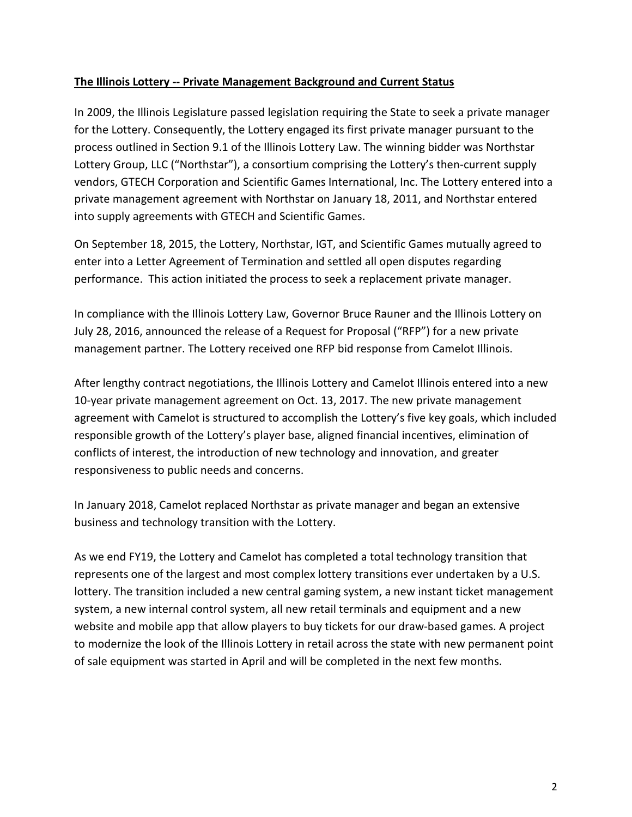### **The Illinois Lottery -- Private Management Background and Current Status**

In 2009, the Illinois Legislature passed legislation requiring the State to seek a private manager for the Lottery. Consequently, the Lottery engaged its first private manager pursuant to the process outlined in Section 9.1 of the Illinois Lottery Law. The winning bidder was Northstar Lottery Group, LLC ("Northstar"), a consortium comprising the Lottery's then-current supply vendors, GTECH Corporation and Scientific Games International, Inc. The Lottery entered into a private management agreement with Northstar on January 18, 2011, and Northstar entered into supply agreements with GTECH and Scientific Games.

On September 18, 2015, the Lottery, Northstar, IGT, and Scientific Games mutually agreed to enter into a Letter Agreement of Termination and settled all open disputes regarding performance. This action initiated the process to seek a replacement private manager.

In compliance with the Illinois Lottery Law, Governor Bruce Rauner and the Illinois Lottery on July 28, 2016, announced the release of a Request for Proposal ("RFP") for a new private management partner. The Lottery received one RFP bid response from Camelot Illinois.

After lengthy contract negotiations, the Illinois Lottery and Camelot Illinois entered into a new 10-year private management agreement on Oct. 13, 2017. The new private management agreement with Camelot is structured to accomplish the Lottery's five key goals, which included responsible growth of the Lottery's player base, aligned financial incentives, elimination of conflicts of interest, the introduction of new technology and innovation, and greater responsiveness to public needs and concerns.

In January 2018, Camelot replaced Northstar as private manager and began an extensive business and technology transition with the Lottery.

As we end FY19, the Lottery and Camelot has completed a total technology transition that represents one of the largest and most complex lottery transitions ever undertaken by a U.S. lottery. The transition included a new central gaming system, a new instant ticket management system, a new internal control system, all new retail terminals and equipment and a new website and mobile app that allow players to buy tickets for our draw-based games. A project to modernize the look of the Illinois Lottery in retail across the state with new permanent point of sale equipment was started in April and will be completed in the next few months.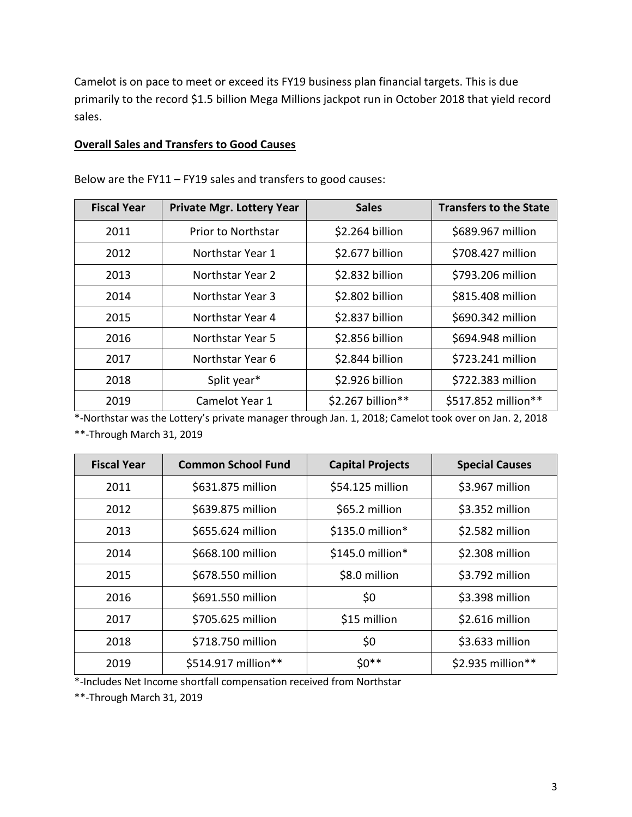Camelot is on pace to meet or exceed its FY19 business plan financial targets. This is due primarily to the record \$1.5 billion Mega Millions jackpot run in October 2018 that yield record sales.

#### **Overall Sales and Transfers to Good Causes**

| <b>Fiscal Year</b> | <b>Private Mgr. Lottery Year</b> | <b>Sales</b>      | <b>Transfers to the State</b> |
|--------------------|----------------------------------|-------------------|-------------------------------|
| 2011               | <b>Prior to Northstar</b>        | \$2.264 billion   | \$689.967 million             |
| 2012               | Northstar Year 1                 | \$2.677 billion   | \$708.427 million             |
| 2013               | Northstar Year 2                 | \$2.832 billion   | \$793.206 million             |
| 2014               | Northstar Year 3                 | \$2.802 billion   | \$815.408 million             |
| 2015               | Northstar Year 4                 | \$2.837 billion   | \$690.342 million             |
| 2016               | Northstar Year 5                 | \$2.856 billion   | \$694.948 million             |
| 2017               | Northstar Year 6                 | \$2.844 billion   | \$723.241 million             |
| 2018               | Split year*                      | \$2.926 billion   | \$722.383 million             |
| 2019               | Camelot Year 1                   | \$2.267 billion** | \$517.852 million**           |

Below are the FY11 – FY19 sales and transfers to good causes:

\*-Northstar was the Lottery's private manager through Jan. 1, 2018; Camelot took over on Jan. 2, 2018 \*\*-Through March 31, 2019

| <b>Fiscal Year</b> | <b>Common School Fund</b> | <b>Capital Projects</b> | <b>Special Causes</b> |
|--------------------|---------------------------|-------------------------|-----------------------|
| 2011               | \$631.875 million         | \$54.125 million        | \$3.967 million       |
| 2012               | \$639.875 million         | \$65.2 million          | \$3.352 million       |
| 2013               | \$655.624 million         | \$135.0 million*        | \$2.582 million       |
| 2014               | \$668.100 million         | $$145.0$ million*       | \$2.308 million       |
| 2015               | \$678.550 million         | \$8.0 million           | \$3.792 million       |
| 2016               | \$691.550 million         | \$0                     | \$3.398 million       |
| 2017               | \$705.625 million         | \$15 million            | \$2.616 million       |
| 2018               | \$718.750 million         | \$0                     | \$3.633 million       |
| 2019               | \$514.917 million**       | $50**$                  | \$2.935 million**     |

\*-Includes Net Income shortfall compensation received from Northstar

\*\*-Through March 31, 2019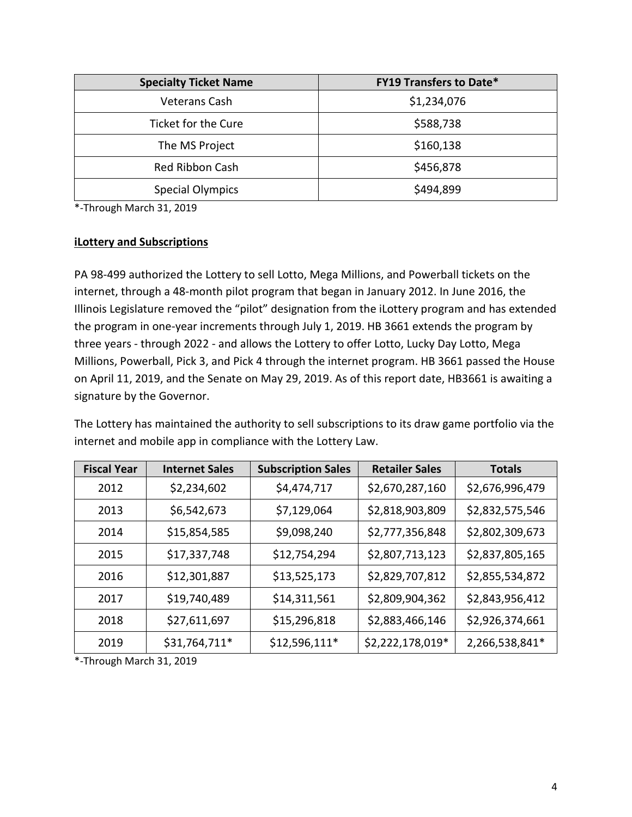| <b>Specialty Ticket Name</b> | <b>FY19 Transfers to Date*</b> |  |
|------------------------------|--------------------------------|--|
| Veterans Cash                | \$1,234,076                    |  |
| Ticket for the Cure          | \$588,738                      |  |
| The MS Project               | \$160,138                      |  |
| Red Ribbon Cash              | \$456,878                      |  |
| <b>Special Olympics</b>      | \$494,899                      |  |

\*-Through March 31, 2019

#### **iLottery and Subscriptions**

PA 98-499 authorized the Lottery to sell Lotto, Mega Millions, and Powerball tickets on the internet, through a 48-month pilot program that began in January 2012. In June 2016, the Illinois Legislature removed the "pilot" designation from the iLottery program and has extended the program in one-year increments through July 1, 2019. HB 3661 extends the program by three years - through 2022 - and allows the Lottery to offer Lotto, Lucky Day Lotto, Mega Millions, Powerball, Pick 3, and Pick 4 through the internet program. HB 3661 passed the House on April 11, 2019, and the Senate on May 29, 2019. As of this report date, HB3661 is awaiting a signature by the Governor.

The Lottery has maintained the authority to sell subscriptions to its draw game portfolio via the internet and mobile app in compliance with the Lottery Law.

| <b>Fiscal Year</b> | <b>Internet Sales</b> | <b>Subscription Sales</b> | <b>Retailer Sales</b> | <b>Totals</b>   |
|--------------------|-----------------------|---------------------------|-----------------------|-----------------|
| 2012               | \$2,234,602           | \$4,474,717               | \$2,670,287,160       | \$2,676,996,479 |
| 2013               | \$6,542,673           | \$7,129,064               | \$2,818,903,809       | \$2,832,575,546 |
| 2014               | \$15,854,585          | \$9,098,240               | \$2,777,356,848       | \$2,802,309,673 |
| 2015               | \$17,337,748          | \$12,754,294              | \$2,807,713,123       | \$2,837,805,165 |
| 2016               | \$12,301,887          | \$13,525,173              | \$2,829,707,812       | \$2,855,534,872 |
| 2017               | \$19,740,489          | \$14,311,561              | \$2,809,904,362       | \$2,843,956,412 |
| 2018               | \$27,611,697          | \$15,296,818              | \$2,883,466,146       | \$2,926,374,661 |
| 2019               | \$31,764,711*         | \$12,596,111*             | \$2,222,178,019*      | 2,266,538,841*  |

\*-Through March 31, 2019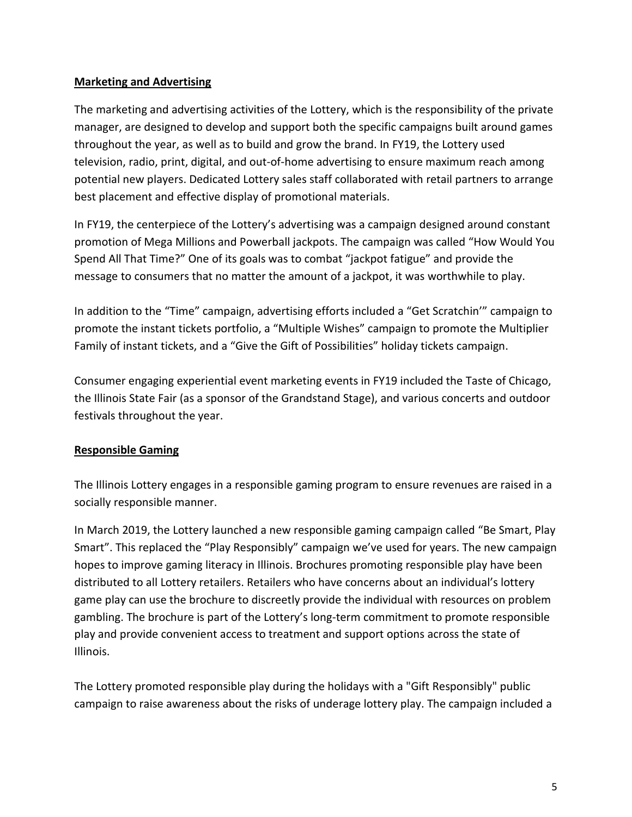## **Marketing and Advertising**

The marketing and advertising activities of the Lottery, which is the responsibility of the private manager, are designed to develop and support both the specific campaigns built around games throughout the year, as well as to build and grow the brand. In FY19, the Lottery used television, radio, print, digital, and out-of-home advertising to ensure maximum reach among potential new players. Dedicated Lottery sales staff collaborated with retail partners to arrange best placement and effective display of promotional materials.

In FY19, the centerpiece of the Lottery's advertising was a campaign designed around constant promotion of Mega Millions and Powerball jackpots. The campaign was called "How Would You Spend All That Time?" One of its goals was to combat "jackpot fatigue" and provide the message to consumers that no matter the amount of a jackpot, it was worthwhile to play.

In addition to the "Time" campaign, advertising efforts included a "Get Scratchin'" campaign to promote the instant tickets portfolio, a "Multiple Wishes" campaign to promote the Multiplier Family of instant tickets, and a "Give the Gift of Possibilities" holiday tickets campaign.

Consumer engaging experiential event marketing events in FY19 included the Taste of Chicago, the Illinois State Fair (as a sponsor of the Grandstand Stage), and various concerts and outdoor festivals throughout the year.

## **Responsible Gaming**

The Illinois Lottery engages in a responsible gaming program to ensure revenues are raised in a socially responsible manner.

In March 2019, the Lottery launched a new responsible gaming campaign called "Be Smart, Play Smart". This replaced the "Play Responsibly" campaign we've used for years. The new campaign hopes to improve gaming literacy in Illinois. Brochures promoting responsible play have been distributed to all Lottery retailers. Retailers who have concerns about an individual's lottery game play can use the brochure to discreetly provide the individual with resources on problem gambling. The brochure is part of the Lottery's long-term commitment to promote responsible play and provide convenient access to treatment and support options across the state of Illinois.

The Lottery promoted responsible play during the holidays with a "Gift Responsibly" public campaign to raise awareness about the risks of underage lottery play. The campaign included a